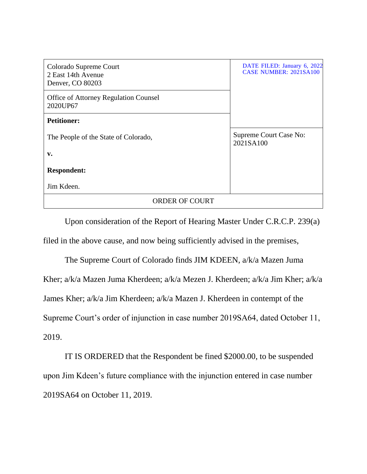| Colorado Supreme Court<br>2 East 14th Avenue<br>Denver, CO 80203 | DATE FILED: January 6, 2022<br><b>CASE NUMBER: 2021SA100</b> |
|------------------------------------------------------------------|--------------------------------------------------------------|
| <b>Office of Attorney Regulation Counsel</b><br>2020UP67         |                                                              |
| <b>Petitioner:</b>                                               |                                                              |
| The People of the State of Colorado,                             | Supreme Court Case No:<br>2021SA100                          |
| $\mathbf{v}$ .                                                   |                                                              |
| <b>Respondent:</b>                                               |                                                              |
| Jim Kdeen.                                                       |                                                              |
| <b>ORDER OF COURT</b>                                            |                                                              |

Upon consideration of the Report of Hearing Master Under C.R.C.P. 239(a) filed in the above cause, and now being sufficiently advised in the premises,

The Supreme Court of Colorado finds JIM KDEEN, a/k/a Mazen Juma Kher; a/k/a Mazen Juma Kherdeen; a/k/a Mezen J. Kherdeen; a/k/a Jim Kher; a/k/a James Kher; a/k/a Jim Kherdeen; a/k/a Mazen J. Kherdeen in contempt of the Supreme Court's order of injunction in case number 2019SA64, dated October 11, 2019.

IT IS ORDERED that the Respondent be fined \$2000.00, to be suspended upon Jim Kdeen's future compliance with the injunction entered in case number 2019SA64 on October 11, 2019.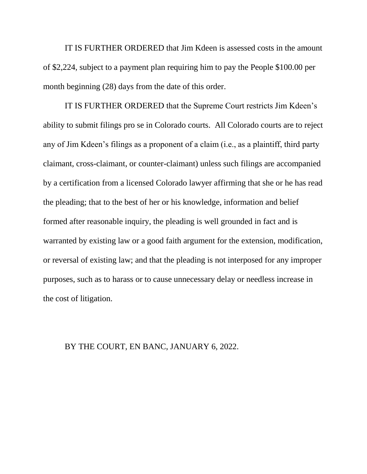IT IS FURTHER ORDERED that Jim Kdeen is assessed costs in the amount of \$2,224, subject to a payment plan requiring him to pay the People \$100.00 per month beginning (28) days from the date of this order.

IT IS FURTHER ORDERED that the Supreme Court restricts Jim Kdeen's ability to submit filings pro se in Colorado courts. All Colorado courts are to reject any of Jim Kdeen's filings as a proponent of a claim (i.e., as a plaintiff, third party claimant, cross-claimant, or counter-claimant) unless such filings are accompanied by a certification from a licensed Colorado lawyer affirming that she or he has read the pleading; that to the best of her or his knowledge, information and belief formed after reasonable inquiry, the pleading is well grounded in fact and is warranted by existing law or a good faith argument for the extension, modification, or reversal of existing law; and that the pleading is not interposed for any improper purposes, such as to harass or to cause unnecessary delay or needless increase in the cost of litigation.

## BY THE COURT, EN BANC, JANUARY 6, 2022.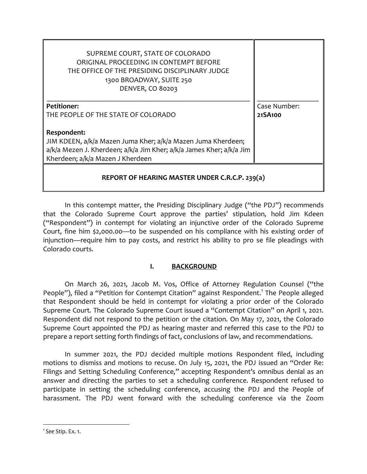| SUPREME COURT, STATE OF COLORADO<br>ORIGINAL PROCEEDING IN CONTEMPT BEFORE<br>THE OFFICE OF THE PRESIDING DISCIPLINARY JUDGE<br>1300 BROADWAY, SUITE 250<br><b>DENVER, CO 80203</b>     |              |  |
|-----------------------------------------------------------------------------------------------------------------------------------------------------------------------------------------|--------------|--|
| <b>Petitioner:</b>                                                                                                                                                                      | Case Number: |  |
| THE PEOPLE OF THE STATE OF COLORADO                                                                                                                                                     | 21SA100      |  |
| Respondent:<br>JIM KDEEN, a/k/a Mazen Juma Kher; a/k/a Mazen Juma Kherdeen;<br>a/k/a Mezen J. Kherdeen; a/k/a Jim Kher; a/k/a James Kher; a/k/a Jim<br>Kherdeen; a/k/a Mazen J Kherdeen |              |  |
| REPORT OF HEARING MASTER UNDER C.R.C.P. 239(a)                                                                                                                                          |              |  |

In this contempt matter, the Presiding Disciplinary Judge ("the PDJ") recommends that the Colorado Supreme Court approve the parties' stipulation, hold Jim Kdeen ("Respondent") in contempt for violating an injunctive order of the Colorado Supreme Court, fine him \$2,000.00—to be suspended on his compliance with his existing order of injunction—require him to pay costs, and restrict his ability to pro se file pleadings with Colorado courts.

## **I. BACKGROUND**

On March 26, 2021, Jacob M. Vos, Office of Attorney Regulation Counsel ("the People"), filed a "Petition for Contempt Citation" against Respondent.<sup>[1](#page-2-0)</sup> The People alleged that Respondent should be held in contempt for violating a prior order of the Colorado Supreme Court. The Colorado Supreme Court issued a "Contempt Citation" on April 1, 2021. Respondent did not respond to the petition or the citation. On May 17, 2021, the Colorado Supreme Court appointed the PDJ as hearing master and referred this case to the PDJ to prepare a report setting forth findings of fact, conclusions of law, and recommendations.

In summer 2021, the PDJ decided multiple motions Respondent filed, including motions to dismiss and motions to recuse. On July 15, 2021, the PDJ issued an "Order Re: Filings and Setting Scheduling Conference," accepting Respondent's omnibus denial as an answer and directing the parties to set a scheduling conference. Respondent refused to participate in setting the scheduling conference, accusing the PDJ and the People of harassment. The PDJ went forward with the scheduling conference via the Zoom

<span id="page-2-0"></span><sup>|&</sup>lt;br>1 *See* Stip. Ex. 1.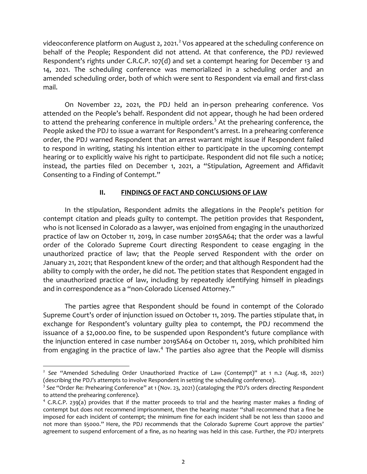videoconference platform on August [2](#page-3-0), 2021.<sup>2</sup> Vos appeared at the scheduling conference on behalf of the People; Respondent did not attend. At that conference, the PDJ reviewed Respondent's rights under C.R.C.P. 107(d) and set a contempt hearing for December 13 and 14, 2021. The scheduling conference was memorialized in a scheduling order and an amended scheduling order, both of which were sent to Respondent via email and first-class mail.

On November 22, 2021, the PDJ held an in-person prehearing conference. Vos attended on the People's behalf. Respondent did not appear, though he had been ordered to attend the prehearing conference in multiple orders.<sup>[3](#page-3-1)</sup> At the prehearing conference, the People asked the PDJ to issue a warrant for Respondent's arrest. In a prehearing conference order, the PDJ warned Respondent that an arrest warrant might issue if Respondent failed to respond in writing, stating his intention either to participate in the upcoming contempt hearing or to explicitly waive his right to participate. Respondent did not file such a notice; instead, the parties filed on December 1, 2021, a "Stipulation, Agreement and Affidavit Consenting to a Finding of Contempt."

## **II. FINDINGS OF FACT AND CONCLUSIONS OF LAW**

In the stipulation, Respondent admits the allegations in the People's petition for contempt citation and pleads guilty to contempt. The petition provides that Respondent, who is not licensed in Colorado as a lawyer, was enjoined from engaging in the unauthorized practice of law on October 11, 2019, in case number 2019SA64; that the order was a lawful order of the Colorado Supreme Court directing Respondent to cease engaging in the unauthorized practice of law; that the People served Respondent with the order on January 21, 2021; that Respondent knew of the order; and that although Respondent had the ability to comply with the order, he did not. The petition states that Respondent engaged in the unauthorized practice of law, including by repeatedly identifying himself in pleadings and in correspondence as a "non-Colorado Licensed Attorney."

The parties agree that Respondent should be found in contempt of the Colorado Supreme Court's order of injunction issued on October 11, 2019. The parties stipulate that, in exchange for Respondent's voluntary guilty plea to contempt, the PDJ recommend the issuance of a \$2,000.00 fine, to be suspended upon Respondent's future compliance with the injunction entered in case number 2019SA64 on October 11, 2019, which prohibited him from engaging in the practice of law.<sup>[4](#page-3-2)</sup> The parties also agree that the People will dismiss

<span id="page-3-0"></span><sup>&</sup>lt;sup>2</sup> See "Amended Scheduling Order Unauthorized Practice of Law (Contempt)" at 1 n.2 (Aug. 18, 2021) (describing the PDJ's attempts to involve Respondent in setting the scheduling conference).

<span id="page-3-1"></span><sup>&</sup>lt;sup>3</sup> See "Order Re: Prehearing Conference" at 1 (Nov. 23, 2021) (cataloging the PDJ's orders directing Respondent to attend the prehearing conference).

<span id="page-3-2"></span> $4$  C.R.C.P. 239(a) provides that if the matter proceeds to trial and the hearing master makes a finding of contempt but does not recommend imprisonment, then the hearing master "shall recommend that a fine be imposed for each incident of contempt; the minimum fine for each incident shall be not less than \$2000 and not more than \$5000." Here, the PDJ recommends that the Colorado Supreme Court approve the parties' agreement to suspend enforcement of a fine, as no hearing was held in this case. Further, the PDJ interprets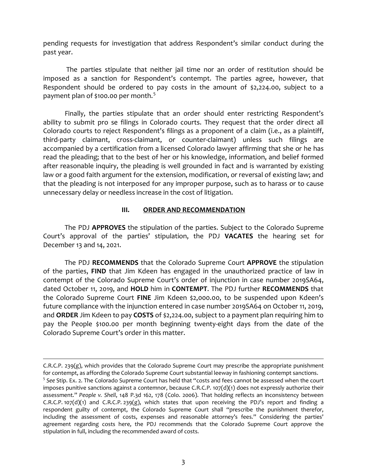pending requests for investigation that address Respondent's similar conduct during the past year.

The parties stipulate that neither jail time nor an order of restitution should be imposed as a sanction for Respondent's contempt. The parties agree, however, that Respondent should be ordered to pay costs in the amount of \$2,224.00, subject to a payment plan of \$100.00 per month.<sup>[5](#page-4-0)</sup>

Finally, the parties stipulate that an order should enter restricting Respondent's ability to submit pro se filings in Colorado courts. They request that the order direct all Colorado courts to reject Respondent's filings as a proponent of a claim (i.e., as a plaintiff, third-party claimant, cross-claimant, or counter-claimant) unless such filings are accompanied by a certification from a licensed Colorado lawyer affirming that she or he has read the pleading; that to the best of her or his knowledge, information, and belief formed after reasonable inquiry, the pleading is well grounded in fact and is warranted by existing law or a good faith argument for the extension, modification, or reversal of existing law; and that the pleading is not interposed for any improper purpose, such as to harass or to cause unnecessary delay or needless increase in the cost of litigation.

## **III. ORDER AND RECOMMENDATION**

The PDJ **APPROVES** the stipulation of the parties. Subject to the Colorado Supreme Court's approval of the parties' stipulation, the PDJ **VACATES** the hearing set for December 13 and 14, 2021.

The PDJ **RECOMMENDS** that the Colorado Supreme Court **APPROVE** the stipulation of the parties, **FIND** that Jim Kdeen has engaged in the unauthorized practice of law in contempt of the Colorado Supreme Court's order of injunction in case number 2019SA64, dated October 11, 2019, and **HOLD** him in **CONTEMPT**. The PDJ further **RECOMMENDS** that the Colorado Supreme Court **FINE** Jim Kdeen \$2,000.00, to be suspended upon Kdeen's future compliance with the injunction entered in case number 2019SA64 on October 11, 2019, and **ORDER** Jim Kdeen to pay **COSTS** of \$2,224.00, subject to a payment plan requiring him to pay the People \$100.00 per month beginning twenty-eight days from the date of the Colorado Supreme Court's order in this matter.

 $\overline{a}$ 

<span id="page-4-0"></span>C.R.C.P. 239 $(g)$ , which provides that the Colorado Supreme Court may prescribe the appropriate punishment for contempt, as affording the Colorado Supreme Court substantial leeway in fashioning contempt sanctions. <sup>5</sup> *See* Stip. Ex. 2. The Colorado Supreme Court has held that "costs and fees cannot be assessed when the court imposes punitive sanctions against a contemnor, because C.R.C.P. 107(d)(1) does not expressly authorize their assessment." *People v. Shell*, 148 P.3d 162, 178 (Colo. 2006). That holding reflects an inconsistency between  $C.R.C.P. 107(d)(1)$  and  $C.R.C.P. 239(g)$ , which states that upon receiving the PDJ's report and finding a respondent guilty of contempt, the Colorado Supreme Court shall "prescribe the punishment therefor, including the assessment of costs, expenses and reasonable attorney's fees." Considering the parties' agreement regarding costs here, the PDJ recommends that the Colorado Supreme Court approve the stipulation in full, including the recommended award of costs.